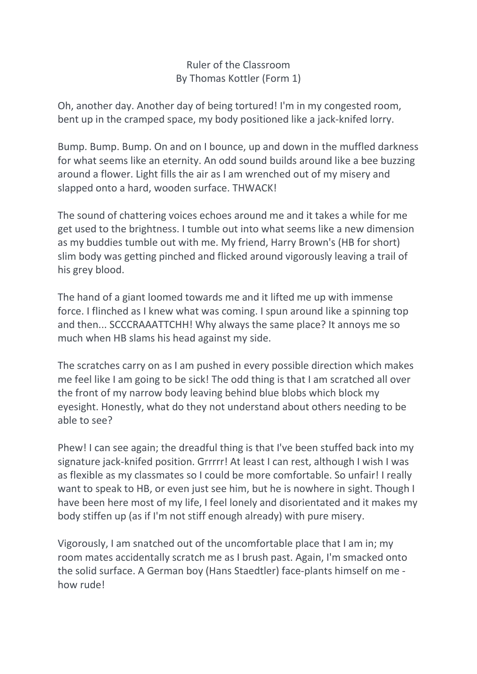Ruler of the Classroom By Thomas Kottler (Form 1)

Oh, another day. Another day of being tortured! I'm in my congested room, bent up in the cramped space, my body positioned like a jack-knifed lorry.

Bump. Bump. Bump. On and on I bounce, up and down in the muffled darkness for what seems like an eternity. An odd sound builds around like a bee buzzing around a flower. Light fills the air as I am wrenched out of my misery and slapped onto a hard, wooden surface. THWACK!

The sound of chattering voices echoes around me and it takes a while for me get used to the brightness. I tumble out into what seems like a new dimension as my buddies tumble out with me. My friend, Harry Brown's (HB for short) slim body was getting pinched and flicked around vigorously leaving a trail of his grey blood.

The hand of a giant loomed towards me and it lifted me up with immense force. I flinched as I knew what was coming. I spun around like a spinning top and then... SCCCRAAATTCHH! Why always the same place? It annoys me so much when HB slams his head against my side.

The scratches carry on as I am pushed in every possible direction which makes me feel like I am going to be sick! The odd thing is that I am scratched all over the front of my narrow body leaving behind blue blobs which block my eyesight. Honestly, what do they not understand about others needing to be able to see?

Phew! I can see again; the dreadful thing is that I've been stuffed back into my signature jack-knifed position. Grrrrr! At least I can rest, although I wish I was as flexible as my classmates so I could be more comfortable. So unfair! I really want to speak to HB, or even just see him, but he is nowhere in sight. Though I have been here most of my life, I feel lonely and disorientated and it makes my body stiffen up (as if I'm not stiff enough already) with pure misery.

Vigorously, I am snatched out of the uncomfortable place that I am in; my room mates accidentally scratch me as I brush past. Again, I'm smacked onto the solid surface. A German boy (Hans Staedtler) face-plants himself on me how rude!